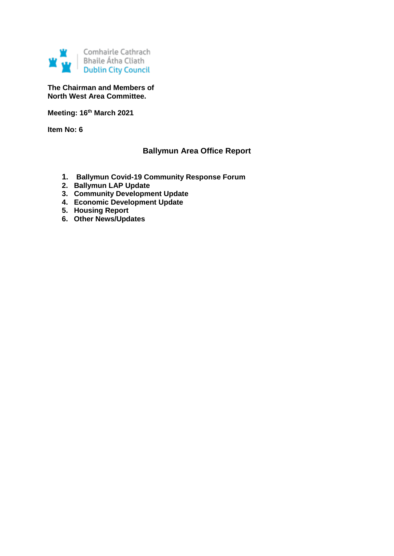

**The Chairman and Members of North West Area Committee.**

**Meeting: 16th March 2021**

**Item No: 6**

## **Ballymun Area Office Report**

- **1. Ballymun Covid-19 Community Response Forum**
- **2. Ballymun LAP Update**
- **3. Community Development Update**
- **4. Economic Development Update**
- **5. Housing Report**
- **6. Other News/Updates**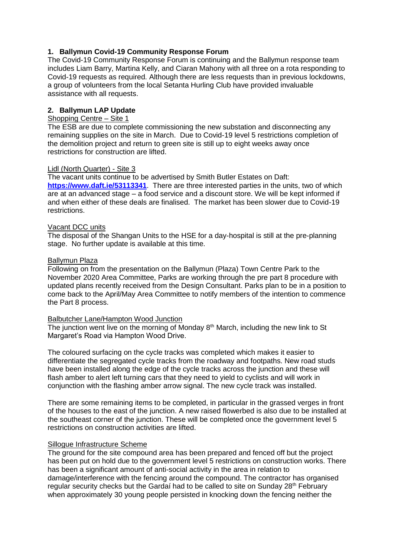## **1. Ballymun Covid-19 Community Response Forum**

The Covid-19 Community Response Forum is continuing and the Ballymun response team includes Liam Barry, Martina Kelly, and Ciaran Mahony with all three on a rota responding to Covid-19 requests as required. Although there are less requests than in previous lockdowns, a group of volunteers from the local Setanta Hurling Club have provided invaluable assistance with all requests.

## **2. Ballymun LAP Update**

#### Shopping Centre – Site 1

The ESB are due to complete commissioning the new substation and disconnecting any remaining supplies on the site in March. Due to Covid-19 level 5 restrictions completion of the demolition project and return to green site is still up to eight weeks away once restrictions for construction are lifted.

#### Lidl (North Quarter) - Site 3

The vacant units continue to be advertised by Smith Butler Estates on Daft: **<https://www.daft.ie/53113341>**. There are three interested parties in the units, two of which are at an advanced stage – a food service and a discount store. We will be kept informed if and when either of these deals are finalised. The market has been slower due to Covid-19 restrictions.

#### Vacant DCC units

The disposal of the Shangan Units to the HSE for a day-hospital is still at the pre-planning stage. No further update is available at this time.

#### Ballymun Plaza

Following on from the presentation on the Ballymun (Plaza) Town Centre Park to the November 2020 Area Committee, Parks are working through the pre part 8 procedure with updated plans recently received from the Design Consultant. Parks plan to be in a position to come back to the April/May Area Committee to notify members of the intention to commence the Part 8 process.

#### Balbutcher Lane/Hampton Wood Junction

The junction went live on the morning of Monday  $8<sup>th</sup>$  March, including the new link to St Margaret's Road via Hampton Wood Drive.

The coloured surfacing on the cycle tracks was completed which makes it easier to differentiate the segregated cycle tracks from the roadway and footpaths. New road studs have been installed along the edge of the cycle tracks across the junction and these will flash amber to alert left turning cars that they need to yield to cyclists and will work in conjunction with the flashing amber arrow signal. The new cycle track was installed.

There are some remaining items to be completed, in particular in the grassed verges in front of the houses to the east of the junction. A new raised flowerbed is also due to be installed at the southeast corner of the junction. These will be completed once the government level 5 restrictions on construction activities are lifted.

#### Sillogue Infrastructure Scheme

The ground for the site compound area has been prepared and fenced off but the project has been put on hold due to the government level 5 restrictions on construction works. There has been a significant amount of anti-social activity in the area in relation to damage/interference with the fencing around the compound. The contractor has organised regular security checks but the Gardaí had to be called to site on Sunday 28<sup>th</sup> February when approximately 30 young people persisted in knocking down the fencing neither the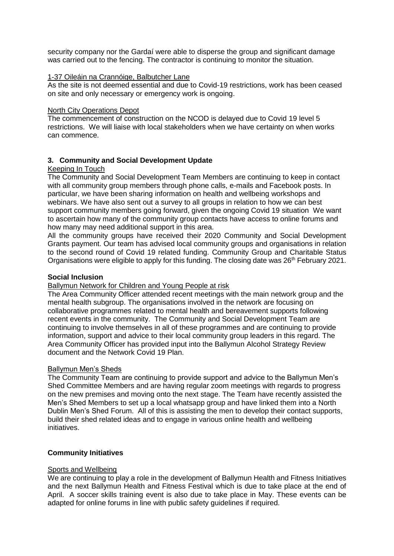security company nor the Gardaí were able to disperse the group and significant damage was carried out to the fencing. The contractor is continuing to monitor the situation.

#### 1-37 Oileáin na Crannóige, Balbutcher Lane

As the site is not deemed essential and due to Covid-19 restrictions, work has been ceased on site and only necessary or emergency work is ongoing.

#### North City Operations Depot

The commencement of construction on the NCOD is delayed due to Covid 19 level 5 restrictions. We will liaise with local stakeholders when we have certainty on when works can commence.

## **3. Community and Social Development Update**

#### Keeping In Touch

The Community and Social Development Team Members are continuing to keep in contact with all community group members through phone calls, e-mails and Facebook posts. In particular, we have been sharing information on health and wellbeing workshops and webinars. We have also sent out a survey to all groups in relation to how we can best support community members going forward, given the ongoing Covid 19 situation We want to ascertain how many of the community group contacts have access to online forums and how many may need additional support in this area.

All the community groups have received their 2020 Community and Social Development Grants payment. Our team has advised local community groups and organisations in relation to the second round of Covid 19 related funding. Community Group and Charitable Status Organisations were eligible to apply for this funding. The closing date was 26<sup>th</sup> February 2021.

#### **Social Inclusion**

#### Ballymun Network for Children and Young People at risk

The Area Community Officer attended recent meetings with the main network group and the mental health subgroup. The organisations involved in the network are focusing on collaborative programmes related to mental health and bereavement supports following recent events in the community. The Community and Social Development Team are continuing to involve themselves in all of these programmes and are continuing to provide information, support and advice to their local community group leaders in this regard. The Area Community Officer has provided input into the Ballymun Alcohol Strategy Review document and the Network Covid 19 Plan.

#### Ballymun Men's Sheds

The Community Team are continuing to provide support and advice to the Ballymun Men's Shed Committee Members and are having regular zoom meetings with regards to progress on the new premises and moving onto the next stage. The Team have recently assisted the Men's Shed Members to set up a local whatsapp group and have linked them into a North Dublin Men's Shed Forum. All of this is assisting the men to develop their contact supports, build their shed related ideas and to engage in various online health and wellbeing initiatives.

#### **Community Initiatives**

## Sports and Wellbeing

We are continuing to play a role in the development of Ballymun Health and Fitness Initiatives and the next Ballymun Health and Fitness Festival which is due to take place at the end of April. A soccer skills training event is also due to take place in May. These events can be adapted for online forums in line with public safety guidelines if required.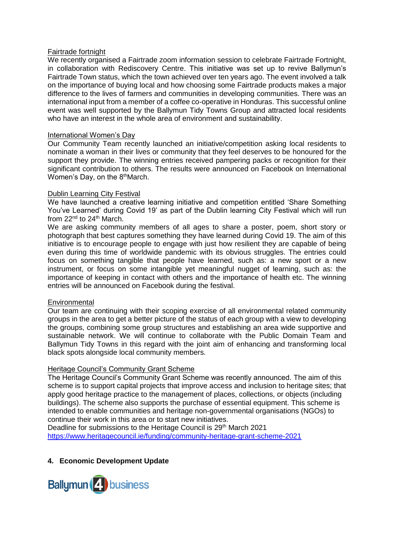#### Fairtrade fortnight

We recently organised a Fairtrade zoom information session to celebrate Fairtrade Fortnight, in collaboration with Rediscovery Centre. This initiative was set up to revive Ballymun's Fairtrade Town status, which the town achieved over ten years ago. The event involved a talk on the importance of buying local and how choosing some Fairtrade products makes a major difference to the lives of farmers and communities in developing communities. There was an international input from a member of a coffee co-operative in Honduras. This successful online event was well supported by the Ballymun Tidy Towns Group and attracted local residents who have an interest in the whole area of environment and sustainability.

#### International Women's Day

Our Community Team recently launched an initiative/competition asking local residents to nominate a woman in their lives or community that they feel deserves to be honoured for the support they provide. The winning entries received pampering packs or recognition for their significant contribution to others. The results were announced on Facebook on International Women's Day, on the 8<sup>th</sup>March.

#### Dublin Learning City Festival

We have launched a creative learning initiative and competition entitled 'Share Something You've Learned' during Covid 19' as part of the Dublin learning City Festival which will run from  $22^{nd}$  to  $24^{th}$  March.

We are asking community members of all ages to share a poster, poem, short story or photograph that best captures something they have learned during Covid 19. The aim of this initiative is to encourage people to engage with just how resilient they are capable of being even during this time of worldwide pandemic with its obvious struggles. The entries could focus on something tangible that people have learned, such as: a new sport or a new instrument, or focus on some intangible yet meaningful nugget of learning, such as: the importance of keeping in contact with others and the importance of health etc. The winning entries will be announced on Facebook during the festival.

#### **Environmental**

Our team are continuing with their scoping exercise of all environmental related community groups in the area to get a better picture of the status of each group with a view to developing the groups, combining some group structures and establishing an area wide supportive and sustainable network. We will continue to collaborate with the Public Domain Team and Ballymun Tidy Towns in this regard with the joint aim of enhancing and transforming local black spots alongside local community members.

#### **Heritage Council's Community Grant Scheme**

The Heritage Council's Community Grant Scheme was recently announced. The aim of this scheme is to support capital projects that improve access and inclusion to heritage sites; that apply good heritage practice to the management of places, collections, or objects (including buildings). The scheme also supports the purchase of essential equipment. This scheme is intended to enable communities and heritage non-governmental organisations (NGOs) to continue their work in this area or to start new initiatives.

Deadline for submissions to the Heritage Council is 29<sup>th</sup> March 2021 <https://www.heritagecouncil.ie/funding/community-heritage-grant-scheme-2021>

#### **4. Economic Development Update**

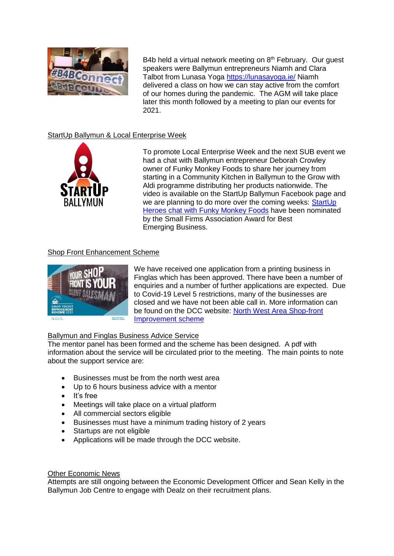

B4b held a virtual network meeting on  $8<sup>th</sup>$  February. Our guest speakers were Ballymun entrepreneurs Niamh and Clara Talbot from Lunasa Yoga<https://lunasayoga.ie/> Niamh delivered a class on how we can stay active from the comfort of our homes during the pandemic. The AGM will take place later this month followed by a meeting to plan our events for 2021.

## StartUp Ballymun & Local Enterprise Week



To promote Local Enterprise Week and the next SUB event we had a chat with Ballymun entrepreneur Deborah Crowley owner of Funky Monkey Foods to share her journey from starting in a Community Kitchen in Ballymun to the Grow with Aldi programme distributing her products nationwide. The video is available on the StartUp Ballymun Facebook page and we are planning to do more over the coming weeks: StartUp [Heroes chat with Funky Monkey Foods](https://www.youtube.com/watch?fbclid=IwAR3S577oJNXxU9vCY50-mhQ9SUONsO-QyJsWl6cl5ngNMLDoJ74m7TOpURA&v=BarS3gtaYNk&feature=youtu.be) have been nominated by the Small Firms Association Award for Best Emerging Business.

## Shop Front Enhancement Scheme



We have received one application from a printing business in Finglas which has been approved. There have been a number of enquiries and a number of further applications are expected. Due to Covid-19 Level 5 restrictions, many of the businesses are closed and we have not been able call in. More information can be found on the DCC website: [North West Area Shop-front](https://www.dublincity.ie/council/council-explained/your-area/north-west-area/shop-front-improvement-scheme-2021?fbclid=IwAR24sU2GgNEsT7RWXo2Ij1lmTSXqRY-GtrW_wSj1E67dfjqicsLM9D6W-rc)  [Improvement scheme](https://www.dublincity.ie/council/council-explained/your-area/north-west-area/shop-front-improvement-scheme-2021?fbclid=IwAR24sU2GgNEsT7RWXo2Ij1lmTSXqRY-GtrW_wSj1E67dfjqicsLM9D6W-rc)

## Ballymun and Finglas Business Advice Service

The mentor panel has been formed and the scheme has been designed. A pdf with information about the service will be circulated prior to the meeting. The main points to note about the support service are:

- Businesses must be from the north west area
- Up to 6 hours business advice with a mentor
- It's free
- Meetings will take place on a virtual platform
- All commercial sectors eligible
- Businesses must have a minimum trading history of 2 years
- Startups are not eligible
- Applications will be made through the DCC website.

Other Economic News

Attempts are still ongoing between the Economic Development Officer and Sean Kelly in the Ballymun Job Centre to engage with Dealz on their recruitment plans.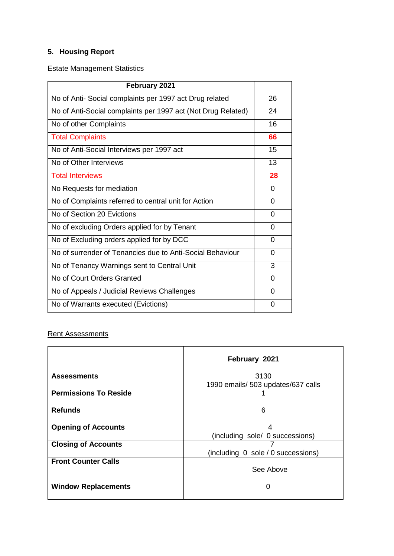# **5. Housing Report**

## Estate Management Statistics

| February 2021                                                |          |
|--------------------------------------------------------------|----------|
| No of Anti- Social complaints per 1997 act Drug related      | 26       |
| No of Anti-Social complaints per 1997 act (Not Drug Related) | 24       |
| No of other Complaints                                       | 16       |
| <b>Total Complaints</b>                                      | 66       |
| No of Anti-Social Interviews per 1997 act                    | 15       |
| No of Other Interviews                                       | 13       |
| <b>Total Interviews</b>                                      | 28       |
| No Requests for mediation                                    | $\Omega$ |
| No of Complaints referred to central unit for Action         | $\Omega$ |
| No of Section 20 Evictions                                   | $\Omega$ |
| No of excluding Orders applied for by Tenant                 | $\Omega$ |
| No of Excluding orders applied for by DCC                    | $\Omega$ |
| No of surrender of Tenancies due to Anti-Social Behaviour    | $\Omega$ |
| No of Tenancy Warnings sent to Central Unit                  | 3        |
| No of Court Orders Granted                                   | $\Omega$ |
| No of Appeals / Judicial Reviews Challenges                  | $\Omega$ |
| No of Warrants executed (Evictions)                          | 0        |

## **Rent Assessments**

|                              | February 2021                              |  |
|------------------------------|--------------------------------------------|--|
| <b>Assessments</b>           | 3130<br>1990 emails/ 503 updates/637 calls |  |
| <b>Permissions To Reside</b> |                                            |  |
| <b>Refunds</b>               | 6                                          |  |
| <b>Opening of Accounts</b>   | 4<br>(including sole/ 0 successions)       |  |
| <b>Closing of Accounts</b>   | (including 0 sole / 0 successions)         |  |
| <b>Front Counter Calls</b>   | See Above                                  |  |
| <b>Window Replacements</b>   | 0                                          |  |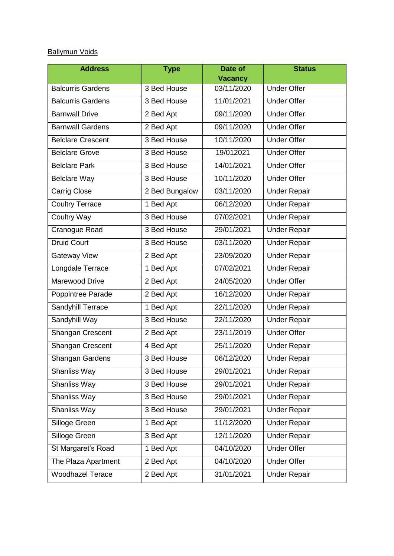# Ballymun Voids

| <b>Address</b>           | <b>Type</b>    | Date of        | <b>Status</b>       |
|--------------------------|----------------|----------------|---------------------|
|                          |                | <b>Vacancy</b> |                     |
| <b>Balcurris Gardens</b> | 3 Bed House    | 03/11/2020     | <b>Under Offer</b>  |
| <b>Balcurris Gardens</b> | 3 Bed House    | 11/01/2021     | <b>Under Offer</b>  |
| <b>Barnwall Drive</b>    | 2 Bed Apt      | 09/11/2020     | <b>Under Offer</b>  |
| <b>Barnwall Gardens</b>  | 2 Bed Apt      | 09/11/2020     | <b>Under Offer</b>  |
| <b>Belclare Crescent</b> | 3 Bed House    | 10/11/2020     | <b>Under Offer</b>  |
| <b>Belclare Grove</b>    | 3 Bed House    | 19/012021      | <b>Under Offer</b>  |
| <b>Belclare Park</b>     | 3 Bed House    | 14/01/2021     | <b>Under Offer</b>  |
| <b>Belclare Way</b>      | 3 Bed House    | 10/11/2020     | <b>Under Offer</b>  |
| <b>Carrig Close</b>      | 2 Bed Bungalow | 03/11/2020     | <b>Under Repair</b> |
| <b>Coultry Terrace</b>   | 1 Bed Apt      | 06/12/2020     | <b>Under Repair</b> |
| <b>Coultry Way</b>       | 3 Bed House    | 07/02/2021     | <b>Under Repair</b> |
| Cranogue Road            | 3 Bed House    | 29/01/2021     | <b>Under Repair</b> |
| <b>Druid Court</b>       | 3 Bed House    | 03/11/2020     | <b>Under Repair</b> |
| <b>Gateway View</b>      | 2 Bed Apt      | 23/09/2020     | <b>Under Repair</b> |
| Longdale Terrace         | 1 Bed Apt      | 07/02/2021     | <b>Under Repair</b> |
| Marewood Drive           | 2 Bed Apt      | 24/05/2020     | <b>Under Offer</b>  |
| Poppintree Parade        | 2 Bed Apt      | 16/12/2020     | <b>Under Repair</b> |
| Sandyhill Terrace        | 1 Bed Apt      | 22/11/2020     | <b>Under Repair</b> |
| Sandyhill Way            | 3 Bed House    | 22/11/2020     | <b>Under Repair</b> |
| Shangan Crescent         | 2 Bed Apt      | 23/11/2019     | <b>Under Offer</b>  |
| Shangan Crescent         | 4 Bed Apt      | 25/11/2020     | <b>Under Repair</b> |
| Shangan Gardens          | 3 Bed House    | 06/12/2020     | <b>Under Repair</b> |
| Shanliss Way             | 3 Bed House    | 29/01/2021     | <b>Under Repair</b> |
| Shanliss Way             | 3 Bed House    | 29/01/2021     | <b>Under Repair</b> |
| Shanliss Way             | 3 Bed House    | 29/01/2021     | <b>Under Repair</b> |
| Shanliss Way             | 3 Bed House    | 29/01/2021     | <b>Under Repair</b> |
| Silloge Green            | 1 Bed Apt      | 11/12/2020     | <b>Under Repair</b> |
| Silloge Green            | 3 Bed Apt      | 12/11/2020     | <b>Under Repair</b> |
| St Margaret's Road       | 1 Bed Apt      | 04/10/2020     | <b>Under Offer</b>  |
| The Plaza Apartment      | 2 Bed Apt      | 04/10/2020     | <b>Under Offer</b>  |
| <b>Woodhazel Terace</b>  | 2 Bed Apt      | 31/01/2021     | <b>Under Repair</b> |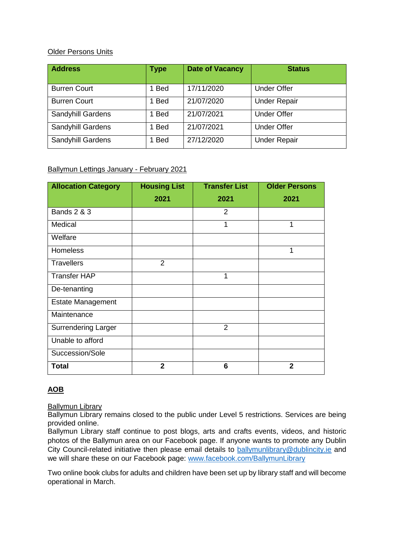## Older Persons Units

| <b>Address</b>      | <b>Type</b> | <b>Date of Vacancy</b> | <b>Status</b>       |
|---------------------|-------------|------------------------|---------------------|
| <b>Burren Court</b> | <b>Bed</b>  | 17/11/2020             | <b>Under Offer</b>  |
| <b>Burren Court</b> | <b>Bed</b>  | 21/07/2020             | <b>Under Repair</b> |
| Sandyhill Gardens   | <b>Bed</b>  | 21/07/2021             | <b>Under Offer</b>  |
| Sandyhill Gardens   | <b>Bed</b>  | 21/07/2021             | <b>Under Offer</b>  |
| Sandyhill Gardens   | <b>Bed</b>  | 27/12/2020             | <b>Under Repair</b> |

## Ballymun Lettings January - February 2021

| <b>Allocation Category</b> | <b>Housing List</b> | <b>Transfer List</b> | <b>Older Persons</b> |
|----------------------------|---------------------|----------------------|----------------------|
|                            | 2021                | 2021                 | 2021                 |
| <b>Bands 2 &amp; 3</b>     |                     | 2                    |                      |
| Medical                    |                     | 1                    | 1                    |
| Welfare                    |                     |                      |                      |
| <b>Homeless</b>            |                     |                      | 1                    |
| <b>Travellers</b>          | 2                   |                      |                      |
| <b>Transfer HAP</b>        |                     | 1                    |                      |
| De-tenanting               |                     |                      |                      |
| <b>Estate Management</b>   |                     |                      |                      |
| Maintenance                |                     |                      |                      |
| <b>Surrendering Larger</b> |                     | $\overline{2}$       |                      |
| Unable to afford           |                     |                      |                      |
| Succession/Sole            |                     |                      |                      |
| <b>Total</b>               | $\mathbf{2}$        | 6                    | $\overline{2}$       |

## **AOB**

**Ballymun Library** 

Ballymun Library remains closed to the public under Level 5 restrictions. Services are being provided online.

Ballymun Library staff continue to post blogs, arts and crafts events, videos, and historic photos of the Ballymun area on our Facebook page. If anyone wants to promote any Dublin City Council-related initiative then please email details to [ballymunlibrary@dublincity.ie](mailto:ballymunlibrary@dublincity.ie) and we will share these on our Facebook page: [www.facebook.com/BallymunLibrary](http://www.facebook.com/BallymunLibrary)

Two online book clubs for adults and children have been set up by library staff and will become operational in March.